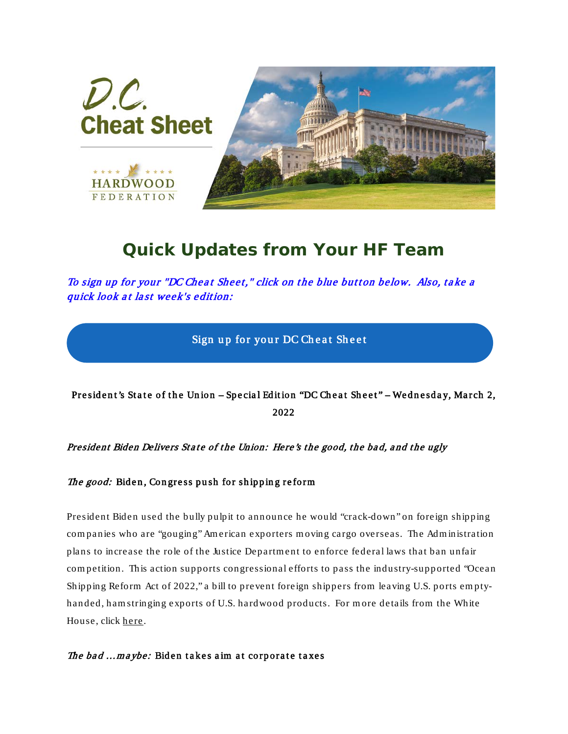

## *Quick Updates from Your HF Team*

To sign up for your "DC Cheat Sheet," click on the blue button below. Also, take a quick look at last week's edition:

Sign up for your DC Cheat Sheet

President's State of the Union - Special Edition "DC Cheat Sheet" - Wednesday, March 2, 2022

President Biden Delivers State of the Union: Here's the good, the bad, and the ugly

The good: Biden, Congress push for shipping reform

President Biden used the bully pulpit to announce he would "crack-down" on foreign shipping com panies who are "gouging" Am erican exporters m oving cargo overseas. The Adm inistration plans to increase the role of the Justice Departm ent to enforce federal laws that ban unfair com petition. This action supports congressional efforts to pass the industry-supported "Ocean Shipping Reform Act of 2022," a bill to prevent foreign shippers from leaving U.S. ports em ptyhanded, ham stringing exports of U.S. hardwood products. For m ore details from the White House, click [here](http://hardwood.linksto.net/ls/click?upn=VFn2IGkATPpsWYJ5qqpm8RwZ-2FxWu7aaKQbojep9ZwKlpUp2cXm4XeB0XUYtF2n6QJPWDBnr87pU85EwbTbkIRT6V34ftyWYryty1eRxOWRnTKMri8-2Bf76IASdv9DRtMqkUualTasX0pL81sYw4fAwtWAwan9cBOyt-2BFgjbYMxRiivMqkFLRyZCji6tVajwov1xjWJJtkPlMhWWYNzgsAXw-3D-3DixCQ_DfShkWCAhoLGP-2FJNrdlPJdV-2FLULhdq7A2Mns4NO8kAbKoy2hBWCjup-2FdSJ4mtav3ZPDAMj5Um-2FlQWwL8173ujUTecz-2F-2FCYl-2FDTMwHJwBSe9UTLNZow3xjXMAHaWlF7f-2FiWGJg2dtLEQ8NCtnymmrrZT-2FK6SrOU3-2BehsKlxn8PBJzeSa3tnepLKr-2FC9nGinnAFqbKk8hnsSFvi5NOo0bnKPoR76p0tUYLHHfVxiktLWQqhY5snuSaFz3vwLxItP0wmE1iEH9bM3etnJFarK56YI-2FND3-2B13jwBoyom4fKXdHUF71IlexBNsx-2Fui8dQEEgWUCkjnKeYhHY3a0TRWFrqcKed5SZk33-2B-2Bjbox5cHK4SI-3D).

The bad ... maybe: Biden takes aim at corporate taxes